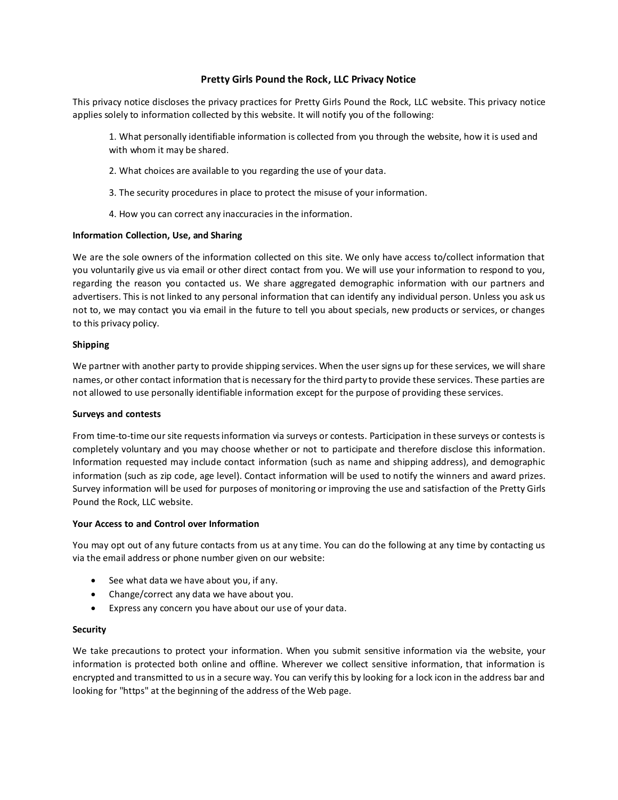# **Pretty Girls Pound the Rock, LLC Privacy Notice**

This privacy notice discloses the privacy practices for Pretty Girls Pound the Rock, LLC website. This privacy notice applies solely to information collected by this website. It will notify you of the following:

1. What personally identifiable information is collected from you through the website, how it is used and with whom it may be shared.

- 2. What choices are available to you regarding the use of your data.
- 3. The security procedures in place to protect the misuse of your information.
- 4. How you can correct any inaccuracies in the information.

## **Information Collection, Use, and Sharing**

We are the sole owners of the information collected on this site. We only have access to/collect information that you voluntarily give us via email or other direct contact from you. We will use your information to respond to you, regarding the reason you contacted us. We share aggregated demographic information with our partners and advertisers. This is not linked to any personal information that can identify any individual person. Unless you ask us not to, we may contact you via email in the future to tell you about specials, new products or services, or changes to this privacy policy.

## **Shipping**

We partner with another party to provide shipping services. When the user signs up for these services, we will share names, or other contact information that is necessary for the third party to provide these services. These parties are not allowed to use personally identifiable information except for the purpose of providing these services.

#### **Surveys and contests**

From time-to-time our site requests information via surveys or contests. Participation in these surveys or contests is completely voluntary and you may choose whether or not to participate and therefore disclose this information. Information requested may include contact information (such as name and shipping address), and demographic information (such as zip code, age level). Contact information will be used to notify the winners and award prizes. Survey information will be used for purposes of monitoring or improving the use and satisfaction of the Pretty Girls Pound the Rock, LLC website.

#### **Your Access to and Control over Information**

You may opt out of any future contacts from us at any time. You can do the following at any time by contacting us via the email address or phone number given on our website:

- $\bullet$  See what data we have about you, if any.
- Change/correct any data we have about you.
- Express any concern you have about our use of your data.

## **Security**

We take precautions to protect your information. When you submit sensitive information via the website, your information is protected both online and offline. Wherever we collect sensitive information, that information is encrypted and transmitted to us in a secure way. You can verify this by looking for a lock icon in the address bar and looking for "https" at the beginning of the address of the Web page.